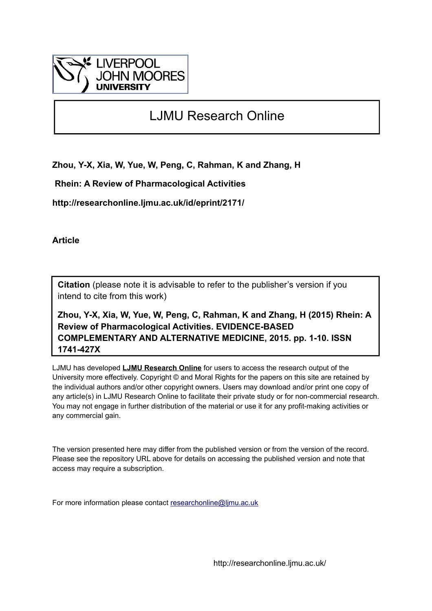

# LJMU Research Online

**Zhou, Y-X, Xia, W, Yue, W, Peng, C, Rahman, K and Zhang, H**

 **Rhein: A Review of Pharmacological Activities**

**http://researchonline.ljmu.ac.uk/id/eprint/2171/**

**Article**

**Citation** (please note it is advisable to refer to the publisher's version if you intend to cite from this work)

**Zhou, Y-X, Xia, W, Yue, W, Peng, C, Rahman, K and Zhang, H (2015) Rhein: A Review of Pharmacological Activities. EVIDENCE-BASED COMPLEMENTARY AND ALTERNATIVE MEDICINE, 2015. pp. 1-10. ISSN 1741-427X** 

LJMU has developed **[LJMU Research Online](http://researchonline.ljmu.ac.uk/)** for users to access the research output of the University more effectively. Copyright © and Moral Rights for the papers on this site are retained by the individual authors and/or other copyright owners. Users may download and/or print one copy of any article(s) in LJMU Research Online to facilitate their private study or for non-commercial research. You may not engage in further distribution of the material or use it for any profit-making activities or any commercial gain.

The version presented here may differ from the published version or from the version of the record. Please see the repository URL above for details on accessing the published version and note that access may require a subscription.

For more information please contact [researchonline@ljmu.ac.uk](mailto:researchonline@ljmu.ac.uk)

http://researchonline.ljmu.ac.uk/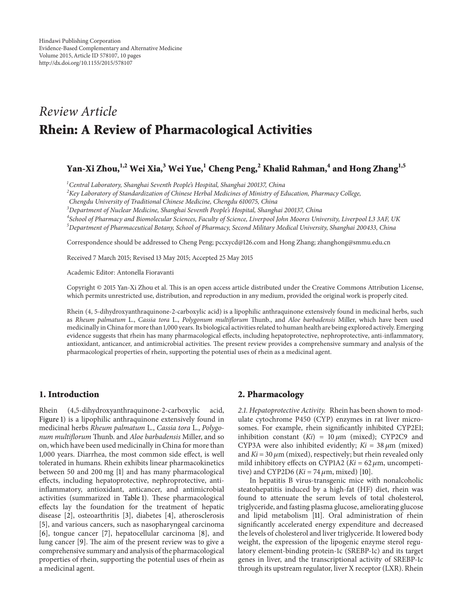# *Review Article* **Rhein: A Review of Pharmacological Activities**

# **Yan-Xi Zhou,1,2 Wei Xia,3 Wei Yue,1 Cheng Peng,<sup>2</sup> Khalid Rahman,4 and Hong Zhang1,5**

*1 Central Laboratory, Shanghai Seventh People's Hospital, Shanghai 200137, China*

*2 Key Laboratory of Standardization of Chinese Herbal Medicines of Ministry of Education, Pharmacy College,*

*Chengdu University of Traditional Chinese Medicine, Chengdu 610075, China*

*3 Department of Nuclear Medicine, Shanghai Seventh People's Hospital, Shanghai 200137, China*

*4 School of Pharmacy and Biomolecular Sciences, Faculty of Science, Liverpool John Moores University, Liverpool L3 3AF, UK 5 Department of Pharmaceutical Botany, School of Pharmacy, Second Military Medical University, Shanghai 200433, China*

Correspondence should be addressed to Cheng Peng; pccxycd@126.com and Hong Zhang; zhanghong@smmu.edu.cn

Received 7 March 2015; Revised 13 May 2015; Accepted 25 May 2015

Academic Editor: Antonella Fioravanti

Copyright © 2015 Yan-Xi Zhou et al. This is an open access article distributed under the Creative Commons Attribution License, which permits unrestricted use, distribution, and reproduction in any medium, provided the original work is properly cited.

Rhein (4, 5-dihydroxyanthraquinone-2-carboxylic acid) is a lipophilic anthraquinone extensively found in medicinal herbs, such as *Rheum palmatum* L., *Cassia tora* L., *Polygonum multiflorum* Thunb., and *Aloe barbadensis* Miller, which have been used medicinally in China for more than 1,000 years. Its biological activities related to human health are being explored actively. Emerging evidence suggests that rhein has many pharmacological effects, including hepatoprotective, nephroprotective, anti-inflammatory, antioxidant, anticancer, and antimicrobial activities. The present review provides a comprehensive summary and analysis of the pharmacological properties of rhein, supporting the potential uses of rhein as a medicinal agent.

### **1. Introduction**

Rhein (4,5-dihydroxyanthraquinone-2-carboxylic acid, Figure 1) is a lipophilic anthraquinone extensively found in medicinal herbs *Rheum palmatum* L., *Cassia tora* L., *Polygonum multiflorum* Thunb. and *Aloe barbadensis* Miller, and so on, which have been used medicinally in China for more than 1,000 years. Diarrhea, the most common side effect, is well tolerated in humans. Rhein exhibits linear pharmacokinetics between 50 and 200 mg [1] and has many pharmacological effects, including hepatoprotective, nephroprotective, antiinflammatory, antioxidant, anticancer, and antimicrobial activities (summarized in Table 1). These pharmacological effects lay the foundation for the treatment of hepatic disease [2], osteoarthritis [3], diabetes [4], atherosclerosis [5], and various cancers, such as nasopharyngeal carcinoma [6], tongue cancer [7], hepatocellular carcinoma [8], and lung cancer [9]. The aim of the present review was to give a comprehensive summary and analysis of the pharmacological properties of rhein, supporting the potential uses of rhein as a medicinal agent.

#### **2. Pharmacology**

*2.1. Hepatoprotective Activity.* Rhein has been shown to modulate cytochrome P450 (CYP) enzymes in rat liver microsomes. For example, rhein significantly inhibited CYP2E1; inhibition constant  $(Ki) = 10 \mu m$  (mixed); CYP2C9 and CYP3A were also inhibited evidently;  $Ki = 38 \mu m$  (mixed) and  $Ki = 30 \mu m$  (mixed), respectively; but rhein revealed only mild inhibitory effects on CYP1A2 ( $Ki = 62 \mu m$ , uncompetitive) and CYP2D6 ( $Ki = 74 \mu m$ , mixed) [10].

In hepatitis B virus-transgenic mice with nonalcoholic steatohepatitis induced by a high-fat (HF) diet, rhein was found to attenuate the serum levels of total cholesterol, triglyceride, and fasting plasma glucose, ameliorating glucose and lipid metabolism [11]. Oral administration of rhein significantly accelerated energy expenditure and decreased the levels of cholesterol and liver triglyceride. It lowered body weight, the expression of the lipogenic enzyme sterol regulatory element-binding protein-1c (SREBP-1c) and its target genes in liver, and the transcriptional activity of SREBP-1c through its upstream regulator, liver X receptor (LXR). Rhein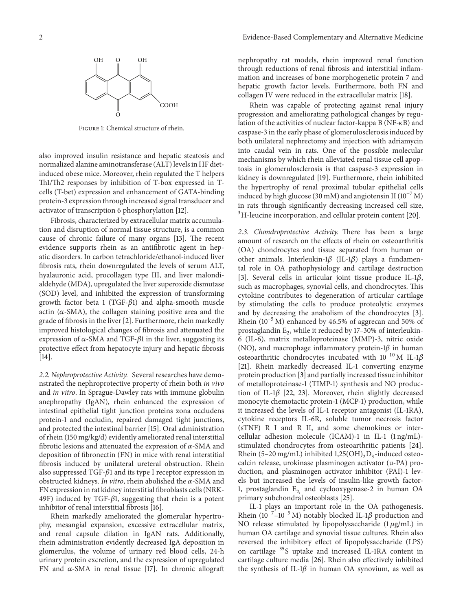

Figure 1: Chemical structure of rhein.

also improved insulin resistance and hepatic steatosis and normalized alanine aminotransferase (ALT) levels in HF dietinduced obese mice. Moreover, rhein regulated the T helpers Th1/Th2 responses by inhibition of T-box expressed in Tcells (T-bet) expression and enhancement of GATA-binding protein-3 expression through increased signal transducer and activator of transcription 6 phosphorylation [12].

Fibrosis, characterized by extracellular matrix accumulation and disruption of normal tissue structure, is a common cause of chronic failure of many organs [13]. The recent evidence supports rhein as an antifibrotic agent in hepatic disorders. In carbon tetrachloride/ethanol-induced liver fibrosis rats, rhein downregulated the levels of serum ALT, hyalauronic acid, procollagen type III, and liver malondialdehyde (MDA), upregulated the liver superoxide dismutase (SOD) level, and inhibited the expression of transforming growth factor beta 1 (TGF- $\beta$ 1) and alpha-smooth muscle actin ( $\alpha$ -SMA), the collagen staining positive area and the grade of fibrosis in the liver [2]. Furthermore, rhein markedly improved histological changes of fibrosis and attenuated the expression of  $\alpha$ -SMA and TGF- $\beta$ 1 in the liver, suggesting its protective effect from hepatocyte injury and hepatic fibrosis [14].

*2.2. Nephroprotective Activity.* Several researches have demonstrated the nephroprotective property of rhein both *in vivo* and *in vitro*. In Sprague-Dawley rats with immune globulin anephropathy (IgAN), rhein enhanced the expression of intestinal epithelial tight junction proteins zona occludens protein-1 and occludin, repaired damaged tight junctions, and protected the intestinal barrier [15]. Oral administration of rhein (150 mg/kg/d) evidently ameliorated renal interstitial fibrotic lesions and attenuated the expression of  $\alpha$ -SMA and deposition of fibronectin (FN) in mice with renal interstitial fibrosis induced by unilateral ureteral obstruction. Rhein also suppressed TGF- $\beta$ 1 and its type I receptor expression in obstructed kidneys. *In vitro*, rhein abolished the  $\alpha$ -SMA and FN expression in rat kidney interstitial fibroblasts cells (NRK-49F) induced by TGF- $\beta$ 1, suggesting that rhein is a potent inhibitor of renal interstitial fibrosis [16].

Rhein markedly ameliorated the glomerular hypertrophy, mesangial expansion, excessive extracellular matrix, and renal capsule dilation in IgAN rats. Additionally, rhein administration evidently decreased IgA deposition in glomerulus, the volume of urinary red blood cells, 24-h urinary protein excretion, and the expression of upregulated FN and  $\alpha$ -SMA in renal tissue [17]. In chronic allograft nephropathy rat models, rhein improved renal function through reductions of renal fibrosis and interstitial inflammation and increases of bone morphogenetic protein 7 and hepatic growth factor levels. Furthermore, both FN and collagen IV were reduced in the extracellular matrix [18].

Rhein was capable of protecting against renal injury progression and ameliorating pathological changes by regulation of the activities of nuclear factor-kappa B (NF- $\kappa$ B) and caspase-3 in the early phase of glomerulosclerosis induced by both unilateral nephrectomy and injection with adriamycin into caudal vein in rats. One of the possible molecular mechanisms by which rhein alleviated renal tissue cell apoptosis in glomerulosclerosis is that caspase-3 expression in kidney is downregulated [19]. Furthermore, rhein inhibited the hypertrophy of renal proximal tubular epithelial cells induced by high glucose (30 mM) and angiotensin II ( $10^{-7}$  M) in rats through significantly decreasing increased cell size, <sup>3</sup>H-leucine incorporation, and cellular protein content [20].

*2.3. Chondroprotective Activity.* There has been a large amount of research on the effects of rhein on osteoarthritis (OA) chondrocytes and tissue separated from human or other animals. Interleukin-1 $\beta$  (IL-1 $\beta$ ) plays a fundamental role in OA pathophysiology and cartilage destruction [3]. Several cells in articular joint tissue produce IL-1 $\beta$ , such as macrophages, synovial cells, and chondrocytes. This cytokine contributes to degeneration of articular cartilage by stimulating the cells to produce proteolytic enzymes and by decreasing the anabolism of the chondrocytes [3]. Rhein (10<sup>-5</sup> M) enhanced by 46.5% of aggrecan and 50% of prostaglandin  $E_2$ , while it reduced by 17-30% of interleukin-6 (IL-6), matrix metalloproteinase (MMP)-3, nitric oxide (NO), and macrophage inflammatory protein-1 $\beta$  in human osteoarthritic chondrocytes incubated with  $10^{-10}$  M IL-1 $\beta$ [21]. Rhein markedly decreased IL-1 converting enzyme protein production [3] and partially increased tissue inhibitor of metalloproteinase-1 (TIMP-1) synthesis and NO production of IL-1 $\beta$  [22, 23]. Moreover, rhein slightly decreased monocyte chemotactic protein-1 (MCP-1) production, while it increased the levels of IL-1 receptor antagonist (IL-1RA), cytokine receptors IL-6R, soluble tumor necrosis factor (sTNF) R I and R II, and some chemokines or intercellular adhesion molecule (ICAM)-1 in IL-1 (1 ng/mL) stimulated chondrocytes from osteoarthritic patients [24]. Rhein (5–20 mg/mL) inhibited  $1,25(OH)_{2}D_{3}$ -induced osteocalcin release, urokinase plasminogen activator (u-PA) production, and plasminogen activator inhibitor (PAI)-1 levels but increased the levels of insulin-like growth factor-1, prostaglandin  $E_2$  and cyclooxygenase-2 in human OA primary subchondral osteoblasts [25].

IL-1 plays an important role in the OA pathogenesis. Rhein (10<sup>-7</sup>–10<sup>-5</sup> M) notably blocked IL-1 $\beta$  production and NO release stimulated by lipopolysaccharide  $(1 \mu g/mL)$  in human OA cartilage and synovial tissue cultures. Rhein also reversed the inhibitory effect of lipopolysaccharide (LPS) on cartilage <sup>35</sup>S uptake and increased IL-1RA content in cartilage culture media [26]. Rhein also effectively inhibited the synthesis of IL-1 $\beta$  in human OA synovium, as well as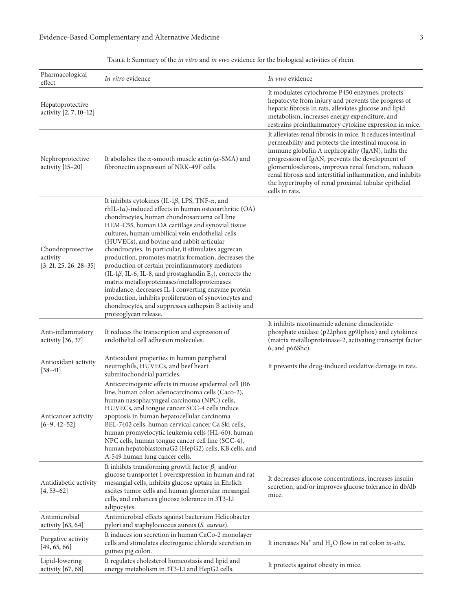| TABLE 1: Summary of the <i>in vitro</i> and <i>in vivo</i> evidence for the biological activities of rhein. |  |  |  |  |  |
|-------------------------------------------------------------------------------------------------------------|--|--|--|--|--|
|-------------------------------------------------------------------------------------------------------------|--|--|--|--|--|

| Pharmacological<br>effect                                 | <i>In vitro</i> evidence                                                                                                                                                                                                                                                                                                                                                                                                                                                                                                                                                                                                                                                                                                                                                                                                                 | In vivo evidence                                                                                                                                                                                                                                                                                                                                                                                                         |
|-----------------------------------------------------------|------------------------------------------------------------------------------------------------------------------------------------------------------------------------------------------------------------------------------------------------------------------------------------------------------------------------------------------------------------------------------------------------------------------------------------------------------------------------------------------------------------------------------------------------------------------------------------------------------------------------------------------------------------------------------------------------------------------------------------------------------------------------------------------------------------------------------------------|--------------------------------------------------------------------------------------------------------------------------------------------------------------------------------------------------------------------------------------------------------------------------------------------------------------------------------------------------------------------------------------------------------------------------|
| Hepatoprotective<br>activity [2, 7, 10-12]                |                                                                                                                                                                                                                                                                                                                                                                                                                                                                                                                                                                                                                                                                                                                                                                                                                                          | It modulates cytochrome P450 enzymes, protects<br>hepatocyte from injury and prevents the progress of<br>hepatic fibrosis in rats, alleviates glucose and lipid<br>metabolism, increases energy expenditure, and<br>restrains proinflammatory cytokine expression in mice.                                                                                                                                               |
| Nephroprotective<br>activity [15-20]                      | It abolishes the $\alpha$ -smooth muscle actin ( $\alpha$ -SMA) and<br>fibronectin expression of NRK-49F cells.                                                                                                                                                                                                                                                                                                                                                                                                                                                                                                                                                                                                                                                                                                                          | It alleviates renal fibrosis in mice. It reduces intestinal<br>permeability and protects the intestinal mucosa in<br>immune globulin A nephropathy (IgAN), halts the<br>progression of IgAN, prevents the development of<br>glomerulosclerosis, improves renal function, reduces<br>renal fibrosis and interstitial inflammation, and inhibits<br>the hypertrophy of renal proximal tubular epithelial<br>cells in rats. |
| Chondroprotective<br>activity<br>$[3, 21, 25, 26, 28-35]$ | It inhibits cytokines (IL-1 $\beta$ , LPS, TNF- $\alpha$ , and<br>$rhIL-I\alpha$ )-induced effects in human osteoarthritic (OA)<br>chondrocytes, human chondrosarcoma cell line<br>HEM-C55, human OA cartilage and synovial tissue<br>cultures, human umbilical vein endothelial cells<br>(HUVECs), and bovine and rabbit articular<br>chondrocytes. In particular, it stimulates aggrecan<br>production, promotes matrix formation, decreases the<br>production of certain proinflammatory mediators<br>(IL-1 $\beta$ , IL-6, IL-8, and prostaglandin E <sub>2</sub> ), corrects the<br>matrix metalloproteinases/metalloproteinases<br>imbalance, decreases IL-1 converting enzyme protein<br>production, inhibits proliferation of synoviocytes and<br>chondrocytes, and suppresses cathepsin B activity and<br>proteoglycan release. |                                                                                                                                                                                                                                                                                                                                                                                                                          |
| Anti-inflammatory<br>activity [36, 37]                    | It reduces the transcription and expression of<br>endothelial cell adhesion molecules.                                                                                                                                                                                                                                                                                                                                                                                                                                                                                                                                                                                                                                                                                                                                                   | It inhibits nicotinamide adenine dinucleotide<br>phosphate oxidase (p22phox gp91phox) and cytokines<br>(matrix metalloproteinase-2, activating transcript factor<br>6, and p66Shc).                                                                                                                                                                                                                                      |
| Antioxidant activity<br>$[38-41]$                         | Antioxidant properties in human peripheral<br>neutrophils, HUVECs, and beef heart<br>submitochondrial particles.                                                                                                                                                                                                                                                                                                                                                                                                                                                                                                                                                                                                                                                                                                                         | It prevents the drug-induced oxidative damage in rats.                                                                                                                                                                                                                                                                                                                                                                   |
| Anticancer activity<br>$[6-9, 42-52]$                     | Anticarcinogenic effects in mouse epidermal cell JB6<br>line, human colon adenocarcinoma cells (Caco-2),<br>human nasopharyngeal carcinoma (NPC) cells,<br>HUVECs, and tongue cancer SCC-4 cells induce<br>apoptosis in human hepatocellular carcinoma<br>BEL-7402 cells, human cervical cancer Ca Ski cells,<br>human promyelocytic leukemia cells (HL-60), human<br>NPC cells, human tongue cancer cell line (SCC-4),<br>human hepatoblastomaG2 (HepG2) cells, KB cells, and<br>A-549 human lung cancer cells.                                                                                                                                                                                                                                                                                                                         |                                                                                                                                                                                                                                                                                                                                                                                                                          |
| Antidiabetic activity<br>$[4, 53 - 62]$                   | It inhibits transforming growth factor $\beta_1$ and/or<br>glucose transporter 1 overexpression in human and rat<br>mesangial cells, inhibits glucose uptake in Ehrlich<br>ascites tumor cells and human glomerular mesangial<br>cells, and enhances glucose tolerance in 3T3-L1<br>adipocytes.                                                                                                                                                                                                                                                                                                                                                                                                                                                                                                                                          | It decreases glucose concentrations, increases insulin<br>secretion, and/or improves glucose tolerance in db/db<br>mice.                                                                                                                                                                                                                                                                                                 |
| Antimicrobial<br>activity $[63, 64]$                      | Antimicrobial effects against bacterium Helicobacter<br>pylori and staphylococcus aureus (S. aureus).                                                                                                                                                                                                                                                                                                                                                                                                                                                                                                                                                                                                                                                                                                                                    |                                                                                                                                                                                                                                                                                                                                                                                                                          |
| Purgative activity<br>[49, 65, 66]                        | It induces ion secretion in human CaCo-2 monolayer<br>cells and stimulates electrogenic chloride secretion in<br>guinea pig colon.                                                                                                                                                                                                                                                                                                                                                                                                                                                                                                                                                                                                                                                                                                       | It increases $\text{Na}^+$ and H <sub>2</sub> O flow in rat colon <i>in-situ</i> .                                                                                                                                                                                                                                                                                                                                       |
| Lipid-lowering<br>activity [67, 68]                       | It regulates cholesterol homeostasis and lipid and<br>energy metabolism in 3T3-L1 and HepG2 cells.                                                                                                                                                                                                                                                                                                                                                                                                                                                                                                                                                                                                                                                                                                                                       | It protects against obesity in mice.                                                                                                                                                                                                                                                                                                                                                                                     |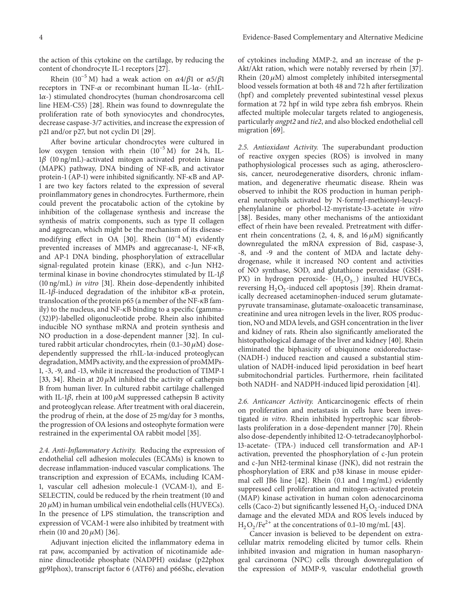the action of this cytokine on the cartilage, by reducing the content of chondrocyte IL-1 receptors [27].

Rhein (10<sup>-5</sup> M) had a weak action on  $\alpha$ 4/ $\beta$ 1 or  $\alpha$ 5/ $\beta$ 1 receptors in TNF- $\alpha$  or recombinant human IL-1 $\alpha$ - (rhIL- $1\alpha$ -) stimulated chondrocytes (human chondrosarcoma cell line HEM-C55) [28]. Rhein was found to downregulate the proliferation rate of both synoviocytes and chondrocytes, decrease caspase-3/7 activities, and increase the expression of p21 and/or p27, but not cyclin D1 [29].

After bovine articular chondrocytes were cultured in low oxygen tension with rhein (10−5 M) for 24 h, IL- $1\beta$  (10 ng/mL)-activated mitogen activated protein kinase  $(MAPK)$  pathway, DNA binding of NF- $\kappa$ B, and activator protein-1 (AP-1) were inhibited significantly. NF- $\kappa$ B and AP-1 are two key factors related to the expression of several proinflammatory genes in chondrocytes. Furthermore, rhein could prevent the procatabolic action of the cytokine by inhibition of the collagenase synthesis and increase the synthesis of matrix components, such as type II collagen and aggrecan, which might be the mechanism of its diseasemodifying effect in OA [30]. Rhein (10−4 M) evidently prevented increases of MMPs and aggrecanase-1, NF- $\kappa$ B, and AP-1 DNA binding, phosphorylation of extracellular signal-regulated protein kinase (ERK), and c-Jun NH2 terminal kinase in bovine chondrocytes stimulated by IL-1 $\beta$ (10 ng/mL) *in vitro* [31]. Rhein dose-dependently inhibited IL-1 $\beta$ -induced degradation of the inhibitor  $\kappa$ B- $\alpha$  protein, translocation of the protein p65 (a member of the NF- $\kappa$ B family) to the nucleus, and NF- $\kappa$ B binding to a specific (gamma-(32)P)-labelled oligonucleotide probe. Rhein also inhibited inducible NO synthase mRNA and protein synthesis and NO production in a dose-dependent manner [32]. In cultured rabbit articular chondrocytes, rhein  $(0.1-30 \,\mu M)$  dosedependently suppressed the rhIL- $1\alpha$ -induced proteoglycan degradation, MMPs activity, and the expression of proMMPs-1, -3, -9, and -13, while it increased the production of TIMP-1 [33, 34]. Rhein at 20  $\mu$ M inhibited the activity of cathepsin B from human liver. In cultured rabbit cartilage challenged with IL-1 $\beta$ , rhein at 100  $\mu$ M suppressed cathepsin B activity and proteoglycan release. After treatment with oral diacerein, the prodrug of rhein, at the dose of 25 mg/day for 3 months, the progression of OA lesions and osteophyte formation were restrained in the experimental OA rabbit model [35].

*2.4. Anti-Inflammatory Activity.* Reducing the expression of endothelial cell adhesion molecules (ECAMs) is known to decrease inflammation-induced vascular complications. The transcription and expression of ECAMs, including ICAM-1, vascular cell adhesion molecule-1 (VCAM-1), and E-SELECTIN, could be reduced by the rhein treatment (10 and  $20 \mu$ M) in human umbilical vein endothelial cells (HUVECs). In the presence of LPS stimulation, the transcription and expression of VCAM-1 were also inhibited by treatment with rhein (10 and 20  $\mu$ M) [36].

Adjuvant injection elicited the inflammatory edema in rat paw, accompanied by activation of nicotinamide adenine dinucleotide phosphate (NADPH) oxidase (p22phox gp91phox), transcript factor 6 (ATF6) and p66Shc, elevation

of cytokines including MMP-2, and an increase of the p-Akt/Akt ration, which were notably reversed by rhein [37]. Rhein  $(20 \mu M)$  almost completely inhibited intersegmental blood vessels formation at both 48 and 72 h after fertilization (hpf) and completely prevented subintestinal vessel plexus formation at 72 hpf in wild type zebra fish embryos. Rhein affected multiple molecular targets related to angiogenesis, particularly *angpt2* and *tie2*, and also blocked endothelial cell migration [69].

*2.5. Antioxidant Activity.* The superabundant production of reactive oxygen species (ROS) is involved in many pathophysiological processes such as aging, atherosclerosis, cancer, neurodegenerative disorders, chronic inflammation, and degenerative rheumatic disease. Rhein was observed to inhibit the ROS production in human peripheral neutrophils activated by N-formyl-methionyl-leucylphenylalanine or phorbol-12-myristate-13-acetate *in vitro* [38]. Besides, many other mechanisms of the antioxidant effect of rhein have been revealed. Pretreatment with different rhein concentrations (2, 4, 8, and 16  $\mu$ M) significantly downregulated the mRNA expression of Bid, caspase-3, -8, and -9 and the content of MDA and lactate dehydrogenase, while it increased NO content and activities of NO synthase, SOD, and glutathione peroxidase (GSH-PX) in hydrogen peroxide- (H<sub>2</sub>O<sub>2−</sub>) insulted HUVECs, reversing  $H_2O_2$ -induced cell apoptosis [39]. Rhein dramatically decreased acetaminophen-induced serum glutamatepyruvate transaminase, glutamate-oxaloacetic transaminase, creatinine and urea nitrogen levels in the liver, ROS production, NO and MDA levels, and GSH concentration in the liver and kidney of rats. Rhein also significantly ameliorated the histopathological damage of the liver and kidney [40]. Rhein eliminated the biphasicity of ubiquinone oxidoreductase- (NADH-) induced reaction and caused a substantial stimulation of NADH-induced lipid peroxidation in beef heart submitochondrial particles. Furthermore, rhein facilitated both NADH- and NADPH-induced lipid peroxidation [41].

*2.6. Anticancer Activity.* Anticarcinogenic effects of rhein on proliferation and metastasis in cells have been investigated *in vitro*. Rhein inhibited hypertrophic scar fibroblasts proliferation in a dose-dependent manner [70]. Rhein also dose-dependently inhibited 12-O-tetradecanoylphorbol-13-acetate- (TPA-) induced cell transformation and AP-1 activation, prevented the phosphorylation of c-Jun protein and c-Jun NH2-terminal kinase (JNK), did not restrain the phosphorylation of ERK and p38 kinase in mouse epidermal cell JB6 line [42]. Rhein (0.1 and 1 mg/mL) evidently suppressed cell proliferation and mitogen-activated protein (MAP) kinase activation in human colon adenocarcinoma cells (Caco-2) but significantly lessened  $H_2O_2$ -induced DNA damage and the elevated MDA and ROS levels induced by  $H_2O_2/Fe^{2+}$  at the concentrations of 0.1–10 mg/mL [43].

Cancer invasion is believed to be dependent on extracellular matrix remodeling elicited by tumor cells. Rhein inhibited invasion and migration in human nasopharyngeal carcinoma (NPC) cells through downregulation of the expression of MMP-9, vascular endothelial growth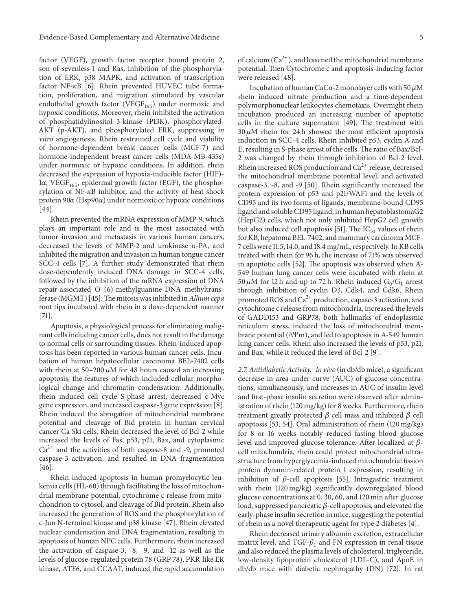factor (VEGF), growth factor receptor bound protein 2, son of sevenless-1 and Ras, inhibition of the phosphorylation of ERK, p38 MAPK, and activation of transcription factor NF- $\kappa$ B [6]. Rhein prevented HUVEC tube formation, proliferation, and migration stimulated by vascular endothelial growth factor (VEGF $_{165}$ ) under normoxic and hypoxic conditions. Moreover, rhein inhibited the activation of phosphatidylinositol 3-kinase (PI3K), phosphorylated-AKT (p-AKT), and phosphorylated ERK, suppressing *in vitro* angiogenesis. Rhein restrained cell cycle and viability of hormone-dependent breast cancer cells (MCF-7) and hormone-independent breast cancer cells (MDA-MB-435s) under normoxic or hypoxic conditions. In addition, rhein decreased the expression of hypoxia-inducible factor (HIF)-  $1\alpha$ , VEGF<sub>165</sub>, epidermal growth factor (EGF), the phosphorylation of  $NF-\kappa B$  inhibitor, and the activity of heat shock protein 90 $\alpha$  (Hsp90 $\alpha$ ) under normoxic or hypoxic conditions [44].

Rhein prevented the mRNA expression of MMP-9, which plays an important role and is the most associated with tumor invasion and metastasis in various human cancers, decreased the levels of MMP-2 and urokinase u-PA, and inhibited the migration and invasion in human tongue cancer SCC-4 cells [7]. A further study demonstrated that rhein dose-dependently induced DNA damage in SCC-4 cells, followed by the inhibition of the mRNA expression of DNA repair-associated O (6)-methylguanine-DNA methyltransferase (MGMT) [45].The mitosis was inhibited in*Allium cepa* root tips incubated with rhein in a dose-dependent manner [71].

Apoptosis, a physiological process for eliminating malignant cells including cancer cells, does not result in the damage to normal cells or surrounding tissues. Rhein-induced apoptosis has been reported in various human cancer cells. Incubation of human hepatocellular carcinoma BEL-7402 cells with rhein at  $50-200 \mu M$  for 48 hours caused an increasing apoptosis, the features of which included cellular morphological change and chromatin condensation. Additionally, rhein induced cell cycle S-phase arrest, decreased c-Myc gene expression, and increased caspase-3 gene expression [8]. Rhein induced the abrogation of mitochondrial membrane potential and cleavage of Bid protein in human cervical cancer Ca Ski cells. Rhein decreased the level of Bcl-2 while increased the levels of Fas, p53, p21, Bax, and cytoplasmic  $Ca<sup>2+</sup>$  and the activities of both caspase-8 and -9, promoted caspase-3 activation, and resulted in DNA fragmentation [46].

Rhein induced apoptosis in human promyelocytic leukemia cells (HL-60) through facilitating the loss of mitochondrial membrane potential, cytochrome c release from mitochondrion to cytosol, and cleavage of Bid protein. Rhein also increased the generation of ROS and the phosphorylation of c-Jun N-terminal kinase and p38 kinase [47]. Rhein elevated nuclear condensation and DNA fragmentation, resulting in apoptosis of human NPC cells. Furthermore, rhein increased the activation of caspase-3, -8, -9, and -12 as well as the levels of glucose-regulated protein 78 (GRP 78), PKR-like ER kinase, ATF6, and CCAAT, induced the rapid accumulation

Incubation of human CaCo-2 monolayer cells with 50  $\mu$ M rhein induced nitrate production and a time-dependent polymorphonuclear leukocytes chemotaxis. Overnight rhein incubation produced an increasing number of apoptotic cells in the culture supernatant [49]. The treatment with  $30 \mu$ M rhein for 24 h showed the most efficient apoptosis induction in SCC-4 cells. Rhein inhibited p53, cyclin A and E, resulting in S-phase arrest of the cells. The ratio of Bax/Bcl-2 was changed by rhein through inhibition of Bcl-2 level. Rhein increased ROS production and  $Ca<sup>2+</sup>$  release, decreased the mitochondrial membrane potential level, and activated caspase-3, -8, and -9 [50]. Rhein significantly increased the protein expression of p53 and p21/WAF1 and the levels of CD95 and its two forms of ligands, membrane-bound CD95 ligand and soluble CD95 ligand, in human hepatoblastomaG2 (HepG2) cells, which not only inhibited HepG2 cell growth but also induced cell apoptosis [51]. The  $IC_{50}$  values of rhein for KB, hepatoma BEL-7402, and mammary carcinoma MCF-7 cells were 11.5, 14.0, and 18.4 mg/mL, respectively. In KB cells treated with rhein for 96 h, the increase of 71% was observed in apoptotic cells [52]. The apoptosis was observed when A-549 human lung cancer cells were incubated with rhein at 50  $\mu$ M for 12 h and up to 72 h. Rhein induced G<sub>0</sub>/G<sub>1</sub> arrest through inhibition of cyclin D3, Cdk4, and Cdk6. Rhein promoted ROS and  $Ca^{2+}$  production, capase-3 activation, and cytochrome c release from mitochondria, increased the levels of GADD153 and GRP78, both hallmarks of endoplasmic reticulum stress, induced the loss of mitochondrial membrane potential (ΔΨm), and led to apoptosis in A-549 human lung cancer cells. Rhein also increased the levels of p53, p21, and Bax, while it reduced the level of Bcl-2 [9].

*2.7. Antidiabetic Activity. In vivo* (in db/db mice), a significant decrease in area under curve (AUC) of glucose concentrations, simultaneously, and increases in AUC of insulin level and first-phase insulin secretion were observed after administration of rhein (120 mg/kg) for 8 weeks. Furthermore, rhein treatment greatly protected  $\beta$  cell mass and inhibited  $\beta$  cell apoptosis [53, 54]. Oral administration of rhein (120 mg/kg) for 8 or 16 weeks notably reduced fasting blood glucose level and improved glucose tolerance. After localized at  $\beta$ cell mitochondria, rhein could protect mitochondrial ultrastructure from hyperglycemia-induced mitochondrial fission protein dynamin-related protein 1 expression, resulting in inhibition of  $\beta$ -cell apoptosis [55]. Intragastric treatment with rhein (120 mg/kg) significantly downregulated blood glucose concentrations at 0, 30, 60, and 120 min after glucose load, suppressed pancreatic  $\beta$ -cell apoptosis, and elevated the early-phase insulin secretion in mice, suggesting the potential of rhein as a novel therapeutic agent for type 2 diabetes [4].

Rhein decreased urinary albumin excretion, extracellular matrix level, and TGF- $\beta_1$  and FN expression in renal tissue and also reduced the plasma levels of cholesterol, triglyceride, low-density lipoprotein cholesterol (LDL-C), and ApoE in db/db mice with diabetic nephropathy (DN) [72]. In rat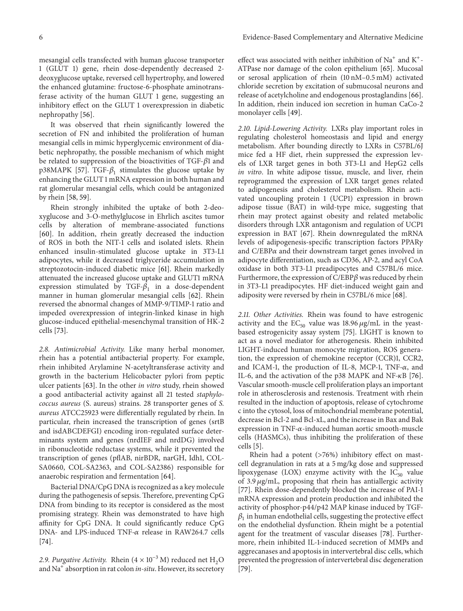mesangial cells transfected with human glucose transporter 1 (GLUT 1) gene, rhein dose-dependently decreased 2 deoxyglucose uptake, reversed cell hypertrophy, and lowered the enhanced glutamine: fructose-6-phosphate aminotransferase activity of the human GLUT 1 gene, suggesting an inhibitory effect on the GLUT 1 overexpression in diabetic nephropathy [56].

It was observed that rhein significantly lowered the secretion of FN and inhibited the proliferation of human mesangial cells in mimic hyperglycemic environment of diabetic nephropathy, the possible mechanism of which might be related to suppression of the bioactivities of TGF- $\beta$ 1 and p38MAPK [57]. TGF- $\beta_1$  stimulates the glucose uptake by enhancing the GLUT 1 mRNA expression in both human and rat glomerular mesangial cells, which could be antagonized by rhein [58, 59].

Rhein strongly inhibited the uptake of both 2-deoxyglucose and 3-O-methylglucose in Ehrlich ascites tumor cells by alteration of membrane-associated functions [60]. In addition, rhein greatly decreased the induction of ROS in both the NIT-1 cells and isolated islets. Rhein enhanced insulin-stimulated glucose uptake in 3T3-L1 adipocytes, while it decreased triglyceride accumulation in streptozotocin-induced diabetic mice [61]. Rhein markedly attenuated the increased glucose uptake and GLUT1 mRNA expression stimulated by TGF- $\beta_1$  in a dose-dependent manner in human glomerular mesangial cells [62]. Rhein reversed the abnormal changes of MMP-9/TIMP-1 ratio and impeded overexpression of integrin-linked kinase in high glucose-induced epithelial-mesenchymal transition of HK-2 cells [73].

*2.8. Antimicrobial Activity.* Like many herbal monomer, rhein has a potential antibacterial property. For example, rhein inhibited Arylamine N-acetyltransferase activity and growth in the bacterium Helicobacter pylori from peptic ulcer patients [63]. In the other *in vitro* study, rhein showed a good antibacterial activity against all 21 tested *staphylococcus aureus* (S. aureus) strains. 28 transporter genes of *S. aureus* ATCC25923 were differentially regulated by rhein. In particular, rhein increased the transcription of genes (srtB and isdABCDEFGI) encoding iron-regulated surface determinants system and genes (nrdIEF and nrdDG) involved in ribonucleotide reductase systems, while it prevented the transcription of genes (pflAB, nirBDR, narGH, Idh1, COL-SA0660, COL-SA2363, and COL-SA2386) responsible for anaerobic respiration and fermentation [64].

Bacterial DNA/CpG DNA is recognized as a key molecule during the pathogenesis of sepsis. Therefore, preventing CpG DNA from binding to its receptor is considered as the most promising strategy. Rhein was demonstrated to have high affinity for CpG DNA. It could significantly reduce CpG DNA- and LPS-induced TNF- $\alpha$  release in RAW264.7 cells [74].

2.9. Purgative Activity. Rhein  $(4 \times 10^{-3} \text{ M})$  reduced net H<sub>2</sub>O and Na<sup>+</sup> absorption in rat colon *in-situ*. However, its secretory effect was associated with neither inhibition of Na<sup>+</sup> and K<sup>+</sup>-ATPase nor damage of the colon epithelium [65]. Mucosal or serosal application of rhein (10 nM–0.5 mM) activated chloride secretion by excitation of submucosal neurons and release of acetylcholine and endogenous prostaglandins [66]. In addition, rhein induced ion secretion in human CaCo-2 monolayer cells [49].

*2.10. Lipid-Lowering Activity.* LXRs play important roles in regulating cholesterol homeostasis and lipid and energy metabolism. After bounding directly to LXRs in C57BL/6J mice fed a HF diet, rhein suppressed the expression levels of LXR target genes in both 3T3-L1 and HepG2 cells *in vitro*. In white adipose tissue, muscle, and liver, rhein reprogrammed the expression of LXR target genes related to adipogenesis and cholesterol metabolism. Rhein activated uncoupling protein 1 (UCP1) expression in brown adipose tissue (BAT) in wild-type mice, suggesting that rhein may protect against obesity and related metabolic disorders through LXR antagonism and regulation of UCP1 expression in BAT [67]. Rhein downregulated the mRNA levels of adipogenesis-specific transcription factors  $PPAR\gamma$ and  $C/EBP\alpha$  and their downstream target genes involved in adipocyte differentiation, such as CD36, AP-2, and acyl CoA oxidase in both 3T3-L1 preadipocytes and C57BL/6 mice. Furthermore, the expression of  $C/EBP\beta$  was reduced by rhein in 3T3-L1 preadipocytes. HF diet-induced weight gain and adiposity were reversed by rhein in C57BL/6 mice [68].

*2.11. Other Activities.* Rhein was found to have estrogenic activity and the  $EC_{50}$  value was 18.96  $\mu$ g/mL in the yeastbased estrogenicity assay system [75]. LIGHT is known to act as a novel mediator for atherogenesis. Rhein inhibited LIGHT-induced human monocyte migration, ROS generation, the expression of chemokine receptor (CCR)1, CCR2, and ICAM-1, the production of IL-8, MCP-1, TNF- $\alpha$ , and IL-6, and the activation of the p38 MAPK and NF- $\kappa$ B [76]. Vascular smooth-muscle cell proliferation plays an important role in atherosclerosis and restenosis. Treatment with rhein resulted in the induction of apoptosis, release of cytochrome c into the cytosol, loss of mitochondrial membrane potential, decrease in Bcl-2 and Bcl-xL, and the increase in Bax and Bak expression in TNF- $\alpha$ -induced human aortic smooth-muscle cells (HASMCs), thus inhibiting the proliferation of these cells [5].

Rhein had a potent (>76%) inhibitory effect on mastcell degranulation in rats at a 5 mg/kg dose and suppressed lipoxygenase (LOX) enzyme activity with the  $IC_{50}$  value of 3.9  $\mu$ g/mL, proposing that rhein has antiallergic activity [77]. Rhein dose-dependently blocked the increase of PAI-1 mRNA expression and protein production and inhibited the activity of phosphor-p44/p42 MAP kinase induced by TGF-  $\beta_1$  in human endothelial cells, suggesting the protective effect on the endothelial dysfunction. Rhein might be a potential agent for the treatment of vascular diseases [78]. Furthermore, rhein inhibited IL-1-induced secretion of MMPs and aggrecanases and apoptosis in intervertebral disc cells, which prevented the progression of intervertebral disc degeneration [79].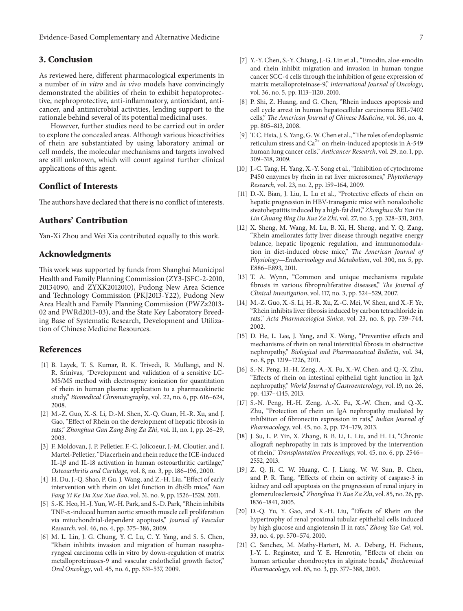Evidence-Based Complementary and Alternative Medicine 7

## **3. Conclusion**

As reviewed here, different pharmacological experiments in a number of *in vitro* and *in vivo* models have convincingly demonstrated the abilities of rhein to exhibit hepatoprotective, nephroprotective, anti-inflammatory, antioxidant, anticancer, and antimicrobial activities, lending support to the rationale behind several of its potential medicinal uses.

However, further studies need to be carried out in order to explore the concealed areas. Although various bioactivities of rhein are substantiated by using laboratory animal or cell models, the molecular mechanisms and targets involved are still unknown, which will count against further clinical applications of this agent.

### **Conflict of Interests**

The authors have declared that there is no conflict of interests.

## **Authors' Contribution**

Yan-Xi Zhou and Wei Xia contributed equally to this work.

#### **Acknowledgments**

This work was supported by funds from Shanghai Municipal Health and Family Planning Commission (ZY3-JSFC-2-2010, 20134090, and ZYXK2012010), Pudong New Area Science and Technology Commission (PKJ2013-Y22), Pudong New Area Health and Family Planning Commission (PWZz2013- 02 and PWRd2013-03), and the State Key Laboratory Breeding Base of Systematic Research, Development and Utilization of Chinese Medicine Resources.

#### **References**

- [1] B. Layek, T. S. Kumar, R. K. Trivedi, R. Mullangi, and N. R. Srinivas, "Development and validation of a sensitive LC-MS/MS method with electrospray ionization for quantitation of rhein in human plasma: application to a pharmacokinetic study," *Biomedical Chromatography*, vol. 22, no. 6, pp. 616–624, 2008.
- [2] M.-Z. Guo, X.-S. Li, D.-M. Shen, X.-Q. Guan, H.-R. Xu, and J. Gao, "Effect of Rhein on the development of hepatic fibrosis in rats," *Zhonghua Gan Zang Bing Za Zhi*, vol. 11, no. 1, pp. 26–29, 2003.
- [3] F. Moldovan, J. P. Pelletier, F.-C. Jolicoeur, J.-M. Cloutier, and J. Martel-Pelletier, "Diacerhein and rhein reduce the ICE-induced IL-1 $\beta$  and IL-18 activation in human osteoarthritic cartilage," *Osteoarthritis and Cartilage*, vol. 8, no. 3, pp. 186–196, 2000.
- [4] H. Du, J.-Q. Shao, P. Gu, J. Wang, and Z.-H. Liu, "Effect of early intervention with rhein on islet function in db/db mice," *Nan Fang Yi Ke Da Xue Xue Bao*, vol. 31, no. 9, pp. 1526–1529, 2011.
- [5] S.-K. Heo, H.-J. Yun, W.-H. Park, and S.-D. Park, "Rhein inhibits TNF- $\alpha$ -induced human aortic smooth muscle cell proliferation via mitochondrial-dependent apoptosis," *Journal of Vascular Research*, vol. 46, no. 4, pp. 375–386, 2009.
- [6] M. L. Lin, J. G. Chung, Y. C. Lu, C. Y. Yang, and S. S. Chen, "Rhein inhibits invasion and migration of human nasopharyngeal carcinoma cells in vitro by down-regulation of matrix metalloproteinases-9 and vascular endothelial growth factor," *Oral Oncology*, vol. 45, no. 6, pp. 531–537, 2009.
- [7] Y.-Y. Chen, S.-Y. Chiang, J.-G. Lin et al., "Emodin, aloe-emodin and rhein inhibit migration and invasion in human tongue cancer SCC-4 cells through the inhibition of gene expression of matrix metalloproteinase-9," *International Journal of Oncology*, vol. 36, no. 5, pp. 1113–1120, 2010.
- [8] P. Shi, Z. Huang, and G. Chen, "Rhein induces apoptosis and cell cycle arrest in human hepatocellular carcinoma BEL-7402 cells," *The American Journal of Chinese Medicine*, vol. 36, no. 4, pp. 805–813, 2008.
- [9] T. C. Hsia, J. S. Yang, G.W. Chen et al., "The roles of endoplasmic reticulum stress and  $Ca^{2+}$  on rhein-induced apoptosis in A-549 human lung cancer cells," *Anticancer Research*, vol. 29, no. 1, pp. 309–318, 2009.
- [10] J.-C. Tang, H. Yang, X.-Y. Song et al., "Inhibition of cytochrome P450 enzymes by rhein in rat liver microsomes," *Phytotherapy Research*, vol. 23, no. 2, pp. 159–164, 2009.
- [11] D.-X. Bian, J. Liu, L. Lu et al., "Protective effects of rhein on hepatic progression in HBV-transgenic mice with nonalcoholic steatohepatitis induced by a high-fat diet," *Zhonghua Shi Yan He Lin Chuang Bing Du Xue Za Zhi*, vol. 27, no. 5, pp. 328–331, 2013.
- [12] X. Sheng, M. Wang, M. Lu, B. Xi, H. Sheng, and Y. Q. Zang, "Rhein ameliorates fatty liver disease through negative energy balance, hepatic lipogenic regulation, and immunomodulation in diet-induced obese mice," *The American Journal of Physiology—Endocrinology and Metabolism*, vol. 300, no. 5, pp. E886–E893, 2011.
- [13] T. A. Wynn, "Common and unique mechanisms regulate fibrosis in various fibroproliferative diseases," *The Journal of Clinical Investigation*, vol. 117, no. 3, pp. 524–529, 2007.
- [14] M.-Z. Guo, X.-S. Li, H.-R. Xu, Z.-C. Mei, W. Shen, and X.-F. Ye, "Rhein inhibits liver fibrosis induced by carbon tetrachloride in rats," *Acta Pharmacologica Sinica*, vol. 23, no. 8, pp. 739–744, 2002.
- [15] D. He, L. Lee, J. Yang, and X. Wang, "Preventive effects and mechanisms of rhein on renal interstitial fibrosis in obstructive nephropathy," *Biological and Pharmaceutical Bulletin*, vol. 34, no. 8, pp. 1219–1226, 2011.
- [16] S.-N. Peng, H.-H. Zeng, A.-X. Fu, X.-W. Chen, and Q.-X. Zhu, "Effects of rhein on intestinal epithelial tight junction in IgA nephropathy," *World Journal of Gastroenterology*, vol. 19, no. 26, pp. 4137–4145, 2013.
- [17] S.-N. Peng, H.-H. Zeng, A.-X. Fu, X.-W. Chen, and Q.-X. Zhu, "Protection of rhein on IgA nephropathy mediated by inhibition of fibronectin expression in rats," *Indian Journal of Pharmacology*, vol. 45, no. 2, pp. 174–179, 2013.
- [18] J. Su, L. P. Yin, X. Zhang, B. B. Li, L. Liu, and H. Li, "Chronic allograft nephropathy in rats is improved by the intervention of rhein," *Transplantation Proceedings*, vol. 45, no. 6, pp. 2546– 2552, 2013.
- [19] Z. Q. Ji, C. W. Huang, C. J. Liang, W. W. Sun, B. Chen, and P. R. Tang, "Effects of rhein on activity of caspase-3 in kidney and cell apoptosis on the progression of renal injury in glomerulosclerosis," *Zhonghua Yi Xue Za Zhi*, vol. 85, no. 26, pp. 1836–1841, 2005.
- [20] D.-Q. Yu, Y. Gao, and X.-H. Liu, "Effects of Rhein on the hypertrophy of renal proximal tubular epithelial cells induced by high glucose and angiotensin II in rats," *Zhong Yao Cai*, vol. 33, no. 4, pp. 570–574, 2010.
- [21] C. Sanchez, M. Mathy-Hartert, M. A. Deberg, H. Ficheux, J.-Y. L. Reginster, and Y. E. Henrotin, "Effects of rhein on human articular chondrocytes in alginate beads," *Biochemical Pharmacology*, vol. 65, no. 3, pp. 377–388, 2003.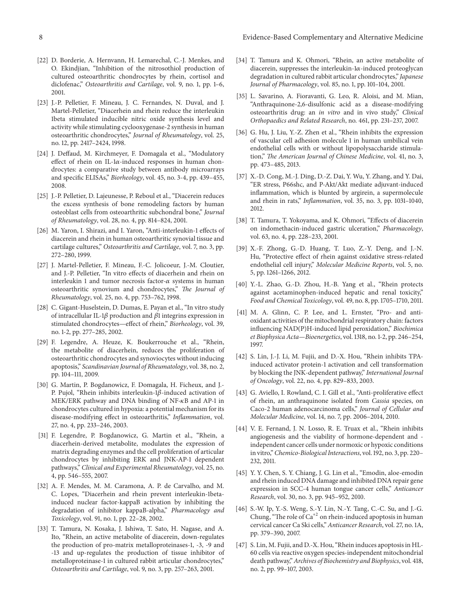- [22] D. Borderie, A. Hernvann, H. Lemarechal, C.-J. Menkes, and O. Ekindjian, "Inhibition of the nitrosothiol production of cultured osteoarthritic chondrocytes by rhein, cortisol and diclofenac," *Osteoarthritis and Cartilage*, vol. 9, no. 1, pp. 1–6, 2001.
- [23] J.-P. Pelletier, F. Mineau, J. C. Fernandes, N. Duval, and J. Martel-Pelletier, "Diacerhein and rhein reduce the interleukin 1beta stimulated inducible nitric oxide synthesis level and activity while stimulating cyclooxygenase-2 synthesis in human osteoarthritic chondrocytes," *Journal of Rheumatology*, vol. 25, no. 12, pp. 2417–2424, 1998.
- [24] J. Deffaud, M. Kirchmeyer, F. Domagala et al., "Modulatory effect of rhein on IL-1 $\alpha$ -induced responses in human chondrocytes: a comparative study between antibody microarrays and specific ELISAs," *Biorheology*, vol. 45, no. 3-4, pp. 439–455, 2008.
- [25] J.-P. Pelletier, D. Lajeunesse, P. Reboul et al., "Diacerein reduces the excess synthesis of bone remodeling factors by human osteoblast cells from osteoarthritic subchondral bone," *Journal of Rheumatology*, vol. 28, no. 4, pp. 814–824, 2001.
- [26] M. Yaron, I. Shirazi, and I. Yaron, "Anti-interleukin-1 effects of diacerein and rhein in human osteoarthritic synovial tissue and cartilage cultures," *Osteoarthritis and Cartilage*, vol. 7, no. 3, pp. 272–280, 1999.
- [27] J. Martel-Pelletier, F. Mineau, F.-C. Jolicoeur, J.-M. Cloutier, and J.-P. Pelletier, "In vitro effects of diacerhein and rhein on interleukin 1 and tumor necrosis factor- $\alpha$  systems in human osteoarthritic synovium and chondrocytes," *The Journal of Rheumatology*, vol. 25, no. 4, pp. 753–762, 1998.
- [28] C. Gigant-Huselstein, D. Dumas, E. Payan et al., "In vitro study of intracellular IL-1 $\beta$  production and  $\beta$ 1 integrins expression in stimulated chondrocytes—effect of rhein," *Biorheology*, vol. 39, no. 1-2, pp. 277–285, 2002.
- [29] F. Legendre, A. Heuze, K. Boukerrouche et al., "Rhein, the metabolite of diacerhein, reduces the proliferation of osteoarthritic chondrocytes and synoviocytes without inducing apoptosis," *Scandinavian Journal of Rheumatology*, vol. 38, no. 2, pp. 104–111, 2009.
- [30] G. Martin, P. Bogdanowicz, F. Domagala, H. Ficheux, and J.- P. Pujol, "Rhein inhibits interleukin-1 $\beta$ -induced activation of MEK/ERK pathway and DNA binding of  $NF-\kappa B$  and AP-1 in chondrocytes cultured in hypoxia: a potential mechanism for its disease-modifying effect in osteoarthritis," *Inflammation*, vol. 27, no. 4, pp. 233–246, 2003.
- [31] F. Legendre, P. Bogdanowicz, G. Martin et al., "Rhein, a diacerhein-derived metabolite, modulates the expression of matrix degrading enzymes and the cell proliferation of articular chondrocytes by inhibiting ERK and JNK-AP-1 dependent pathways," *Clinical and Experimental Rheumatology*, vol. 25, no. 4, pp. 546–555, 2007.
- [32] A. F. Mendes, M. M. Caramona, A. P. de Carvalho, and M. C. Lopes, "Diacerhein and rhein prevent interleukin-1betainduced nuclear factor-kappaB activation by inhibiting the degradation of inhibitor kappaB-alpha," *Pharmacology and Toxicology*, vol. 91, no. 1, pp. 22–28, 2002.
- [33] T. Tamura, N. Kosaka, J. Ishiwa, T. Sato, H. Nagase, and A. Ito, "Rhein, an active metabolite of diacerein, down-regulates the production of pro-matrix metalloproteinases-1, -3, -9 and -13 and up-regulates the production of tissue inhibitor of metalloproteinase-1 in cultured rabbit articular chondrocytes," *Osteoarthritis and Cartilage*, vol. 9, no. 3, pp. 257–263, 2001.
- [34] T. Tamura and K. Ohmori, "Rhein, an active metabolite of diacerein, suppresses the interleukin- $1\alpha$ -induced proteoglycan degradation in cultured rabbit articular chondrocytes," *Japanese Journal of Pharmacology*, vol. 85, no. 1, pp. 101–104, 2001.
- [35] L. Savarino, A. Fioravanti, G. Leo, R. Aloisi, and M. Mian, "Anthraquinone-2,6-disulfonic acid as a disease-modifying osteoarthritis drug: an *in vitro* and in vivo study," *Clinical Orthopaedics and Related Research*, no. 461, pp. 231–237, 2007.
- [36] G. Hu, J. Liu, Y.-Z. Zhen et al., "Rhein inhibits the expression of vascular cell adhesion molecule 1 in human umbilical vein endothelial cells with or without lipopolysaccharide stimulation," *The American Journal of Chinese Medicine*, vol. 41, no. 3, pp. 473–485, 2013.
- [37] X.-D. Cong, M.-J. Ding, D.-Z. Dai, Y. Wu, Y. Zhang, and Y. Dai, "ER stress, P66shc, and P-Akt/Akt mediate adjuvant-induced inflammation, which is blunted by argirein, a supermolecule and rhein in rats," *Inflammation*, vol. 35, no. 3, pp. 1031–1040, 2012.
- [38] T. Tamura, T. Yokoyama, and K. Ohmori, "Effects of diacerein on indomethacin-induced gastric ulceration," *Pharmacology*, vol. 63, no. 4, pp. 228–233, 2001.
- [39] X.-F. Zhong, G.-D. Huang, T. Luo, Z.-Y. Deng, and J.-N. Hu, "Protective effect of rhein against oxidative stress-related endothelial cell injury," *Molecular Medicine Reports*, vol. 5, no. 5, pp. 1261–1266, 2012.
- [40] Y.-L. Zhao, G.-D. Zhou, H.-B. Yang et al., "Rhein protects against acetaminophen-induced hepatic and renal toxicity," *Food and Chemical Toxicology*, vol. 49, no. 8, pp. 1705–1710, 2011.
- [41] M. A. Glinn, C. P. Lee, and L. Ernster, "Pro- and antioxidant activities of the mitochondrial respiratory chain: factors influencing NAD(P)H-induced lipid peroxidation," *Biochimica et Biophysica Acta—Bioenergetics*, vol. 1318, no. 1-2, pp. 246–254, 1997.
- [42] S. Lin, J.-J. Li, M. Fujii, and D.-X. Hou, "Rhein inhibits TPAinduced activator protein-1 activation and cell transformation by blocking the JNK-dependent pathway," *International Journal of Oncology*, vol. 22, no. 4, pp. 829–833, 2003.
- [43] G. Aviello, I. Rowland, C. I. Gill et al., "Anti-proliferative effect of rhein, an anthraquinone isolated from *Cassia* species, on Caco-2 human adenocarcinoma cells," *Journal of Cellular and Molecular Medicine*, vol. 14, no. 7, pp. 2006–2014, 2010.
- [44] V. E. Fernand, J. N. Losso, R. E. Truax et al., "Rhein inhibits angiogenesis and the viability of hormone-dependent and independent cancer cells under normoxic or hypoxic conditions in vitro,"*Chemico-Biological Interactions*, vol. 192, no. 3, pp. 220– 232, 2011.
- [45] Y. Y. Chen, S. Y. Chiang, J. G. Lin et al., "Emodin, aloe-emodin and rhein induced DNA damage and inhibited DNA repair gene expression in SCC-4 human tongue cancer cells," *Anticancer Research*, vol. 30, no. 3, pp. 945–952, 2010.
- [46] S.-W. Ip, Y.-S. Weng, S.-Y. Lin, N.-Y. Tang, C.-C. Su, and J.-G. Chung, "The role of  $Ca^{+2}$  on rhein-induced apoptosis in human cervical cancer Ca Ski cells," *Anticancer Research*, vol. 27, no. 1A, pp. 379–390, 2007.
- [47] S. Lin, M. Fujii, and D.-X. Hou, "Rhein induces apoptosis in HL-60 cells via reactive oxygen species-independent mitochondrial death pathway,"*Archives of Biochemistry and Biophysics*, vol. 418, no. 2, pp. 99–107, 2003.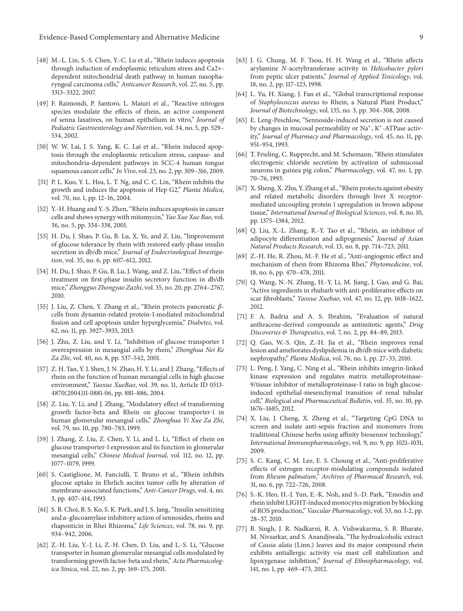- [48] M.-L. Lin, S.-S. Chen, Y.-C. Lu et al., "Rhein induces apoptosis through induction of endoplasmic reticulum stress and Ca2+ dependent mitochondrial death pathway in human nasopharyngeal carcinoma cells," *Anticancer Research*, vol. 27, no. 5, pp. 3313–3322, 2007.
- [49] F. Raimondi, P. Santoro, L. Maiuri et al., "Reactive nitrogen species modulate the effects of rhein, an active component of senna laxatives, on human epithelium in vitro," *Journal of Pediatric Gastroenterology and Nutrition*, vol. 34, no. 5, pp. 529– 534, 2002.
- [50] W. W. Lai, J. S. Yang, K. C. Lai et al., "Rhein induced apoptosis through the endoplasmic reticulum stress, caspase- and mitochondria-dependent pathways in SCC-4 human tongue squamous cancer cells," *In Vivo*, vol. 23, no. 2, pp. 309–316, 2009.
- [51] P. L. Kuo, Y. L. Hsu, L. T. Ng, and C. C. Lin, "Rhein inhibits the growth and induces the apoptosis of Hep G2," *Planta Medica*, vol. 70, no. 1, pp. 12–16, 2004.
- [52] Y.-H. Huang and Y.-S. Zhen, "Rhein induces apoptosis in cancer cells and shows synergy with mitomycin," *Yao Xue Xue Bao*, vol. 36, no. 5, pp. 334–338, 2001.
- [53] H. Du, J. Shao, P. Gu, B. Lu, X. Ye, and Z. Liu, "Improvement of glucose tolerance by rhein with restored early-phase insulin secretion in db/db mice," *Journal of Endocrinological Investigation*, vol. 35, no. 6, pp. 607–612, 2012.
- [54] H. Du, J. Shao, P. Gu, B. Lu, J. Wang, and Z. Liu, "Effect of rhein treatment on first-phase insulin secretory function in db/db mice," *Zhongguo Zhongyao Zazhi*, vol. 35, no. 20, pp. 2764–2767, 2010.
- [55] J. Liu, Z. Chen, Y. Zhang et al., "Rhein protects pancreatic  $\beta$ cells from dynamin-related protein-1-mediated mitochondrial fission and cell apoptosis under hyperglycemia," *Diabetes*, vol. 62, no. 11, pp. 3927–3935, 2013.
- [56] J. Zhu, Z. Liu, and Y. Li, "Inhibition of glucose transporter 1 overexpression in mesangial cells by rhein," *Zhonghua Nei Ke Za Zhi*, vol. 40, no. 8, pp. 537–542, 2001.
- [57] Z. H. Tan, Y. J. Shen, J. N. Zhao, H. Y. Li, and J. Zhang, "Effects of rhein on the function of human mesangial cells in high glucose environment," *Yaoxue XueBao*, vol. 39, no. 11, Article ID 0513- 4870(2004)11-0881-06, pp. 881–886, 2004.
- [58] Z. Liu, Y. Li, and J. Zhang, "Modulatory effect of transforming growth factor-beta and Rhein on glucose transporter-1 in human glomerular mesangial cells," *Zhonghua Yi Xue Za Zhi*, vol. 79, no. 10, pp. 780–783, 1999.
- [59] J. Zhang, Z. Liu, Z. Chen, Y. Li, and L. Li, "Effect of rhein on glucose transporter-1 expression and its function in glomerular mesangial cells," *Chinese Medical Journal*, vol. 112, no. 12, pp. 1077–1079, 1999.
- [60] S. Castiglione, M. Fanciulli, T. Bruno et al., "Rhein inhibits glucose uptake in Ehrlich ascites tumor cells by alteration of membrane-associated functions," *Anti-Cancer Drugs*, vol. 4, no. 3, pp. 407–414, 1993.
- [61] S. B. Choi, B. S. Ko, S. K. Park, and J. S. Jang, "Insulin sensitizing and  $\alpha$ -glucoamylase inhibitory action of sennosides, rheins and rhaponticin in Rhei Rhizoma," *Life Sciences*, vol. 78, no. 9, pp. 934–942, 2006.
- [62] Z.-H. Liu, Y.-J. Li, Z.-H. Chen, D. Liu, and L.-S. Li, "Glucose transporter in human glomerular mesangial cells modulated by transforming growth factor-beta and rhein," *Acta Pharmacologica Sinica*, vol. 22, no. 2, pp. 169–175, 2001.
- [63] J. G. Chung, M. F. Tsou, H. H. Wang et al., "Rhein affects arylamine *N*-acetyltransferase activity in *Helicobacter pylori* from peptic ulcer patients," *Journal of Applied Toxicology*, vol. 18, no. 2, pp. 117–123, 1998.
- [64] L. Yu, H. Xiang, J. Fan et al., "Global transcriptional response of *Staphylococcus aureus* to Rhein, a Natural Plant Product," *Journal of Biotechnology*, vol. 135, no. 3, pp. 304–308, 2008.
- [65] E. Leng-Peschlow, "Sennoside-induced secretion is not caused by changes in mucosal permeability or  $Na<sup>+</sup>, K<sup>+</sup>$ -ATPase activity," *Journal of Pharmacy and Pharmacology*, vol. 45, no. 11, pp. 951–954, 1993.
- [66] T. Frieling, C. Rupprecht, and M. Schemann, "Rhein stimulates electrogenic chloride secretion by activation of submucosal neurons in guinea pig colon," *Pharmacology*, vol. 47, no. 1, pp. 70–76, 1993.
- [67] X. Sheng, X. Zhu, Y. Zhang et al., "Rhein protects against obesity and related metabolic disorders through liver X receptormediated uncoupling protein 1 upregulation in brown adipose tissue," *International Journal of Biological Sciences*, vol. 8, no. 10, pp. 1375–1384, 2012.
- [68] Q. Liu, X.-L. Zhang, R.-Y. Tao et al., "Rhein, an inhibitor of adipocyte differentiation and adipogenesis," *Journal of Asian Natural Products Research*, vol. 13, no. 8, pp. 714–723, 2011.
- [69] Z.-H. He, R. Zhou, M.-F. He et al., "Anti-angiogenic effect and mechanism of rhein from Rhizoma Rhei," *Phytomedicine*, vol. 18, no. 6, pp. 470–478, 2011.
- [70] Q. Wang, N.-N. Zhang, H.-Y. Li, M. Jiang, J. Gao, and G. Bai, "Active ingredients in rhubarb with anti-proliferative effects on scar fibroblasts," *Yaoxue Xuebao*, vol. 47, no. 12, pp. 1618–1622, 2012.
- [71] F. A. Badria and A. S. Ibrahim, "Evaluation of natural anthracene-derived compounds as antimitotic agents," *Drug Discoveries & Therapeutics*, vol. 7, no. 2, pp. 84–89, 2013.
- [72] Q. Gao, W.-S. Qin, Z.-H. Jia et al., "Rhein improves renal lesion and ameliorates dyslipidemia in db/db mice with diabetic nephropathy," *Planta Medica*, vol. 76, no. 1, pp. 27–33, 2010.
- [73] L. Peng, J. Yang, C. Ning et al., "Rhein inhibits integrin-linked kinase expression and regulates matrix metalloproteinase-9/tissue inhibitor of metalloproteinase-1 ratio in high glucoseinduced epithelial-mesenchymal transition of renal tubular cell," *Biological and Pharmaceutical Bulletin*, vol. 35, no. 10, pp. 1676–1685, 2012.
- [74] X. Liu, J. Cheng, X. Zheng et al., "Targeting CpG DNA to screen and isolate anti-sepsis fraction and monomers from traditional Chinese herbs using affinity biosensor technology," *International Immunopharmacology*, vol. 9, no. 9, pp. 1021–1031, 2009.
- [75] S. C. Kang, C. M. Lee, E. S. Choung et al., "Anti-proliferative effects of estrogen receptor-modulating compounds isolated from *Rheum palmatum*," *Archives of Pharmacal Research*, vol. 31, no. 6, pp. 722–726, 2008.
- [76] S.-K. Heo, H.-J. Yun, E.-K. Noh, and S.-D. Park, "Emodin and rhein inhibit LIGHT-induced monocytes migration by blocking of ROS production," *Vascular Pharmacology*, vol. 53, no. 1-2, pp. 28–37, 2010.
- [77] B. Singh, J. R. Nadkarni, R. A. Vishwakarma, S. B. Bharate, M. Nivsarkar, and S. Anandjiwala, "The hydroalcoholic extract of *Cassia alata* (Linn.) leaves and its major compound rhein exhibits antiallergic activity *via* mast cell stabilization and lipoxygenase inhibition," *Journal of Ethnopharmacology*, vol. 141, no. 1, pp. 469–473, 2012.